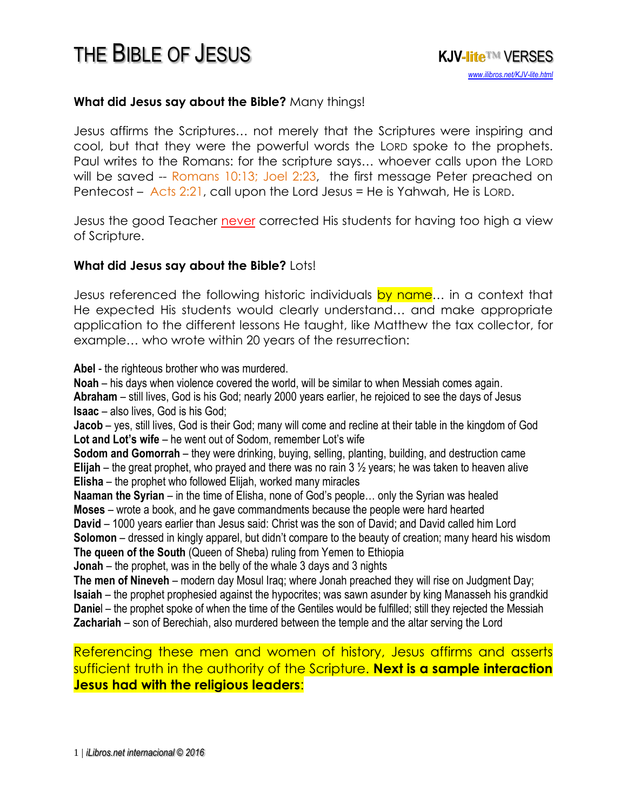#### **What did Jesus say about the Bible?** Many things!

Jesus affirms the Scriptures… not merely that the Scriptures were inspiring and cool, but that they were the powerful words the LORD spoke to the prophets. Paul writes to the Romans: for the scripture says… whoever calls upon the LORD will be saved -- Romans 10:13; Joel 2:23, the first message Peter preached on Pentecost – Acts 2:21, call upon the Lord Jesus = He is Yahwah, He is LORD.

Jesus the good Teacher never corrected His students for having too high a view of Scripture.

#### **What did Jesus say about the Bible?** Lots!

Jesus referenced the following historic individuals by name... in a context that He expected His students would clearly understand… and make appropriate application to the different lessons He taught, like Matthew the tax collector, for example… who wrote within 20 years of the resurrection:

**Abel** - the righteous brother who was murdered.

**Noah** – his days when violence covered the world, will be similar to when Messiah comes again. **Abraham** – still lives, God is his God; nearly 2000 years earlier, he rejoiced to see the days of Jesus **Isaac** – also lives, God is his God;

**Jacob** – yes, still lives, God is their God; many will come and recline at their table in the kingdom of God **Lot and Lot's wife** – he went out of Sodom, remember Lot's wife

**Sodom and Gomorrah** – they were drinking, buying, selling, planting, building, and destruction came **Elijah** – the great prophet, who prayed and there was no rain 3 ½ years; he was taken to heaven alive **Elisha** – the prophet who followed Elijah, worked many miracles

**Naaman the Syrian** – in the time of Elisha, none of God's people… only the Syrian was healed **Moses** – wrote a book, and he gave commandments because the people were hard hearted

**David** – 1000 years earlier than Jesus said: Christ was the son of David; and David called him Lord **Solomon** – dressed in kingly apparel, but didn't compare to the beauty of creation; many heard his wisdom **The queen of the South** (Queen of Sheba) ruling from Yemen to Ethiopia

**Jonah** – the prophet, was in the belly of the whale 3 days and 3 nights

**The men of Nineveh** – modern day Mosul Iraq; where Jonah preached they will rise on Judgment Day; **Isaiah** – the prophet prophesied against the hypocrites; was sawn asunder by king Manasseh his grandkid **Daniel** – the prophet spoke of when the time of the Gentiles would be fulfilled; still they rejected the Messiah **Zachariah** – son of Berechiah, also murdered between the temple and the altar serving the Lord

#### Referencing these men and women of history, Jesus affirms and asserts sufficient truth in the authority of the Scripture. **Next is a sample interaction Jesus had with the religious leaders**: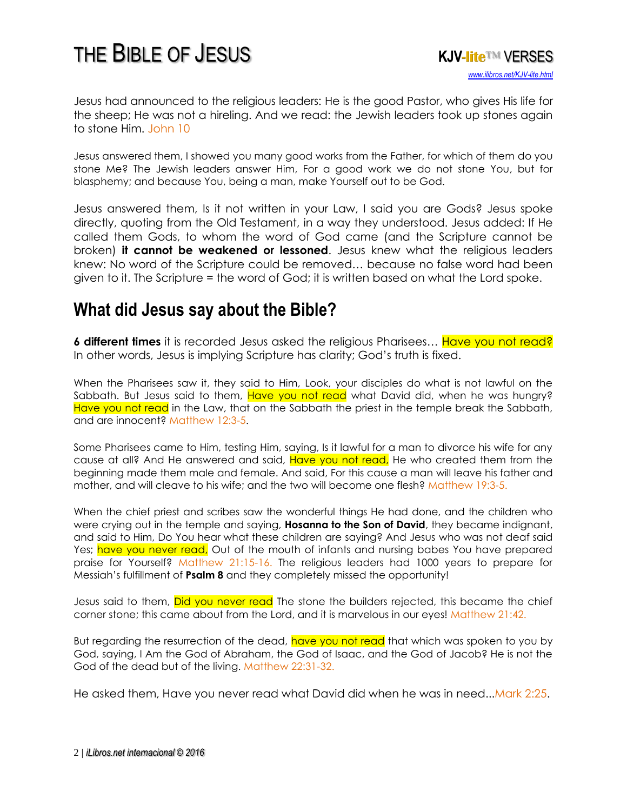

Jesus had announced to the religious leaders: He is the good Pastor, who gives His life for the sheep; He was not a hireling. And we read: the Jewish leaders took up stones again to stone Him. John 10

Jesus answered them, I showed you many good works from the Father, for which of them do you stone Me? The Jewish leaders answer Him, For a good work we do not stone You, but for blasphemy; and because You, being a man, make Yourself out to be God.

Jesus answered them, Is it not written in your Law, I said you are Gods? Jesus spoke directly, quoting from the Old Testament, in a way they understood. Jesus added: If He called them Gods, to whom the word of God came (and the Scripture cannot be broken) **it cannot be weakened or lessoned**. Jesus knew what the religious leaders knew: No word of the Scripture could be removed… because no false word had been given to it. The Scripture = the word of God; it is written based on what the Lord spoke.

### **What did Jesus say about the Bible?**

**6 different times** it is recorded Jesus asked the religious Pharisees... Have you not read? In other words, Jesus is implying Scripture has clarity; God's truth is fixed.

When the Pharisees saw it, they said to Him, Look, your disciples do what is not lawful on the Sabbath. But Jesus said to them, Have you not read what David did, when he was hungry? Have you not read in the Law, that on the Sabbath the priest in the temple break the Sabbath, and are innocent? Matthew 12:3-5.

Some Pharisees came to Him, testing Him, saying, Is it lawful for a man to divorce his wife for any cause at all? And He answered and said, Have you not read, He who created them from the beginning made them male and female. And said, For this cause a man will leave his father and mother, and will cleave to his wife; and the two will become one flesh? Matthew 19:3-5.

When the chief priest and scribes saw the wonderful things He had done, and the children who were crying out in the temple and saying, **Hosanna to the Son of David**, they became indignant, and said to Him, Do You hear what these children are saying? And Jesus who was not deaf said Yes; have you never read, Out of the mouth of infants and nursing babes You have prepared praise for Yourself? Matthew 21:15-16. The religious leaders had 1000 years to prepare for Messiah's fulfillment of **Psalm 8** and they completely missed the opportunity!

Jesus said to them, Did you never read The stone the builders rejected, this became the chief corner stone; this came about from the Lord, and it is marvelous in our eyes! Matthew 21:42.

But regarding the resurrection of the dead, have you not read that which was spoken to you by God, saying, I Am the God of Abraham, the God of Isaac, and the God of Jacob? He is not the God of the dead but of the living. Matthew 22:31-32.

He asked them, Have you never read what David did when he was in need...Mark 2:25.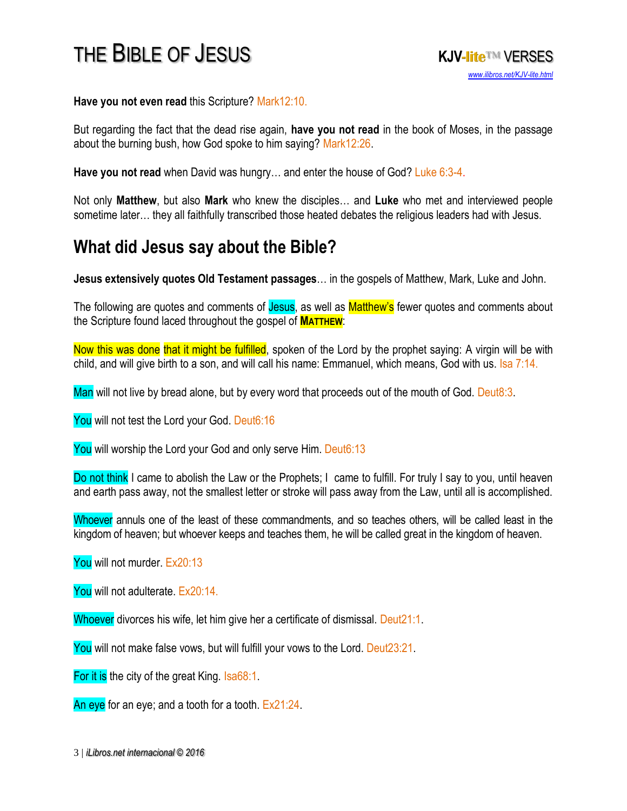**Have you not even read** this Scripture? Mark12:10.

But regarding the fact that the dead rise again, **have you not read** in the book of Moses, in the passage about the burning bush, how God spoke to him saying? Mark12:26.

**Have you not read** when David was hungry… and enter the house of God? Luke 6:3-4.

Not only **Matthew**, but also **Mark** who knew the disciples… and **Luke** who met and interviewed people sometime later… they all faithfully transcribed those heated debates the religious leaders had with Jesus.

#### **What did Jesus say about the Bible?**

**Jesus extensively quotes Old Testament passages**… in the gospels of Matthew, Mark, Luke and John.

The following are quotes and comments of Jesus, as well as Matthew's fewer quotes and comments about the Scripture found laced throughout the gospel of **MATTHEW**:

Now this was done that it might be fulfilled, spoken of the Lord by the prophet saying: A virgin will be with child, and will give birth to a son, and will call his name: Emmanuel, which means, God with us. Isa 7:14.

Man will not live by bread alone, but by every word that proceeds out of the mouth of God. Deut8:3.

You will not test the Lord your God. Deut6:16

You will worship the Lord your God and only serve Him. Deut6:13

Do not think I came to abolish the Law or the Prophets; I came to fulfill. For truly I say to you, until heaven and earth pass away, not the smallest letter or stroke will pass away from the Law, until all is accomplished.

Whoever annuls one of the least of these commandments, and so teaches others, will be called least in the kingdom of heaven; but whoever keeps and teaches them, he will be called great in the kingdom of heaven.

You will not murder. Ex20:13

You will not adulterate. Ex20:14.

Whoever divorces his wife, let him give her a certificate of dismissal. Deut21:1.

You will not make false vows, but will fulfill your vows to the Lord. Deut23:21.

For it is the city of the great King. Isa68:1.

An eye for an eye; and a tooth for a tooth.  $Ex21:24$ .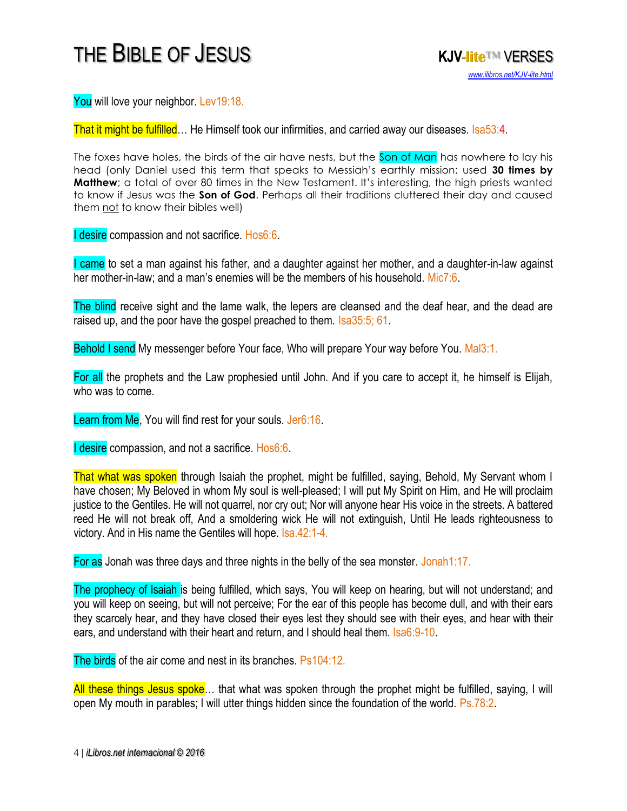

You will love your neighbor. Lev19:18.

That it might be fulfilled... He Himself took our infirmities, and carried away our diseases. Isa53:4.

The foxes have holes, the birds of the air have nests, but the Son of Man has nowhere to lay his head (only Daniel used this term that speaks to Messiah's earthly mission; used **30 times by Matthew**; a total of over 80 times in the New Testament. It's interesting, the high priests wanted to know if Jesus was the **Son of God**. Perhaps all their traditions cluttered their day and caused them not to know their bibles well)

**I desire compassion and not sacrifice. Hos6:6.** 

I came to set a man against his father, and a daughter against her mother, and a daughter-in-law against her mother-in-law; and a man's enemies will be the members of his household. Mic7:6.

The blind receive sight and the lame walk, the lepers are cleansed and the deaf hear, and the dead are raised up, and the poor have the gospel preached to them. Isa35:5; 61.

Behold I send My messenger before Your face, Who will prepare Your way before You. Mal3:1.

For all the prophets and the Law prophesied until John. And if you care to accept it, he himself is Elijah, who was to come.

Learn from Me, You will find rest for your souls. Jer6:16.

I desire compassion, and not a sacrifice. Hos6:6.

That what was spoken through Isaiah the prophet, might be fulfilled, saying, Behold, My Servant whom I have chosen; My Beloved in whom My soul is well-pleased; I will put My Spirit on Him, and He will proclaim justice to the Gentiles. He will not quarrel, nor cry out; Nor will anyone hear His voice in the streets. A battered reed He will not break off, And a smoldering wick He will not extinguish, Until He leads righteousness to victory. And in His name the Gentiles will hope. Isa.42:1-4.

For as Jonah was three days and three nights in the belly of the sea monster. Jonah1:17.

The prophecy of Isaiah is being fulfilled, which says, You will keep on hearing, but will not understand; and you will keep on seeing, but will not perceive; For the ear of this people has become dull, and with their ears they scarcely hear, and they have closed their eyes lest they should see with their eyes, and hear with their ears, and understand with their heart and return, and I should heal them. Isa6:9-10.

The birds of the air come and nest in its branches. Ps104:12.

All these things Jesus spoke… that what was spoken through the prophet might be fulfilled, saying, I will open My mouth in parables; I will utter things hidden since the foundation of the world. Ps.78:2.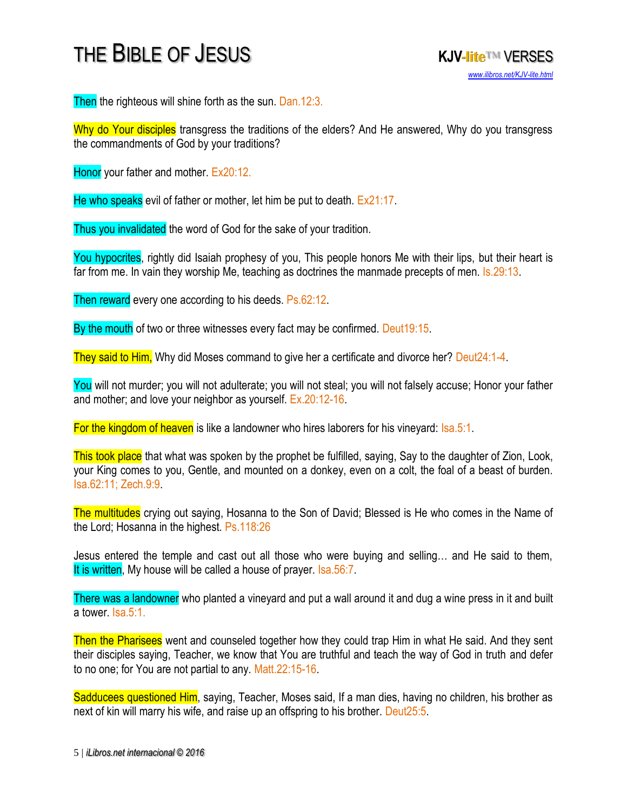

Then the righteous will shine forth as the sun. Dan.12:3.

Why do Your disciples transgress the traditions of the elders? And He answered, Why do you transgress the commandments of God by your traditions?

Honor your father and mother. Ex20:12.

He who speaks evil of father or mother, let him be put to death. Ex21:17.

Thus you invalidated the word of God for the sake of your tradition.

You hypocrites, rightly did Isaiah prophesy of you, This people honors Me with their lips, but their heart is far from me. In vain they worship Me, teaching as doctrines the manmade precepts of men. Is.29:13.

Then reward every one according to his deeds. Ps.62:12.

By the mouth of two or three witnesses every fact may be confirmed. Deut19:15.

They said to Him, Why did Moses command to give her a certificate and divorce her? Deut24:1-4.

You will not murder; you will not adulterate; you will not steal; you will not falsely accuse; Honor your father and mother; and love your neighbor as yourself. Ex.20:12-16.

For the kingdom of heaven is like a landowner who hires laborers for his vineyard: Isa.5:1.

This took place that what was spoken by the prophet be fulfilled, saying, Say to the daughter of Zion, Look, your King comes to you, Gentle, and mounted on a donkey, even on a colt, the foal of a beast of burden. Isa.62:11; Zech.9:9.

The multitudes crying out saying, Hosanna to the Son of David; Blessed is He who comes in the Name of the Lord; Hosanna in the highest. Ps.118:26

Jesus entered the temple and cast out all those who were buying and selling… and He said to them, It is written. My house will be called a house of prayer. Isa.56:7.

There was a landowner who planted a vineyard and put a wall around it and dug a wine press in it and built a tower. Isa.5:1.

Then the Pharisees went and counseled together how they could trap Him in what He said. And they sent their disciples saying, Teacher, we know that You are truthful and teach the way of God in truth and defer to no one; for You are not partial to any. Matt.22:15-16.

Sadducees questioned Him, saying, Teacher, Moses said, If a man dies, having no children, his brother as next of kin will marry his wife, and raise up an offspring to his brother. Deut25:5.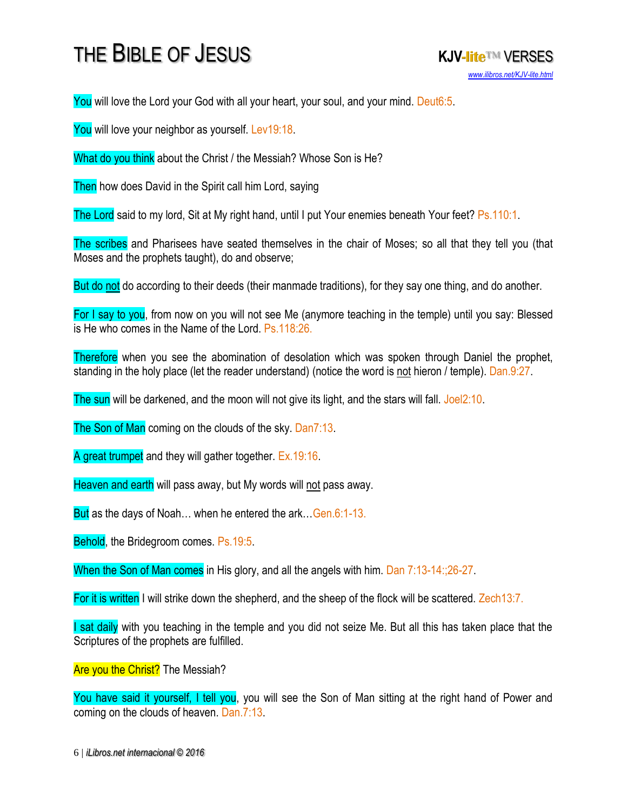You will love the Lord your God with all your heart, your soul, and your mind. Deut6:5.

You will love your neighbor as yourself. Lev19:18.

What do you think about the Christ / the Messiah? Whose Son is He?

Then how does David in the Spirit call him Lord, saying

The Lord said to my lord, Sit at My right hand, until I put Your enemies beneath Your feet? Ps.110:1.

The scribes and Pharisees have seated themselves in the chair of Moses; so all that they tell you (that Moses and the prophets taught), do and observe;

But do not do according to their deeds (their manmade traditions), for they say one thing, and do another.

For I say to you, from now on you will not see Me (anymore teaching in the temple) until you say: Blessed is He who comes in the Name of the Lord. Ps.118:26.

Therefore when you see the abomination of desolation which was spoken through Daniel the prophet, standing in the holy place (let the reader understand) (notice the word is not hieron / temple). Dan.9:27.

The sun will be darkened, and the moon will not give its light, and the stars will fall. Joel2:10.

The Son of Man coming on the clouds of the sky. Dan7:13.

A great trumpet and they will gather together. Ex.19:16.

Heaven and earth will pass away, but My words will not pass away.

But as the days of Noah... when he entered the ark...Gen.6:1-13.

Behold, the Bridegroom comes. Ps.19:5.

When the Son of Man comes in His glory, and all the angels with him. Dan 7:13-14:;26-27.

For it is written I will strike down the shepherd, and the sheep of the flock will be scattered. Zech13:7.

I sat daily with you teaching in the temple and you did not seize Me. But all this has taken place that the Scriptures of the prophets are fulfilled.

Are you the Christ? The Messiah?

You have said it yourself, I tell you, you will see the Son of Man sitting at the right hand of Power and coming on the clouds of heaven. Dan.7:13.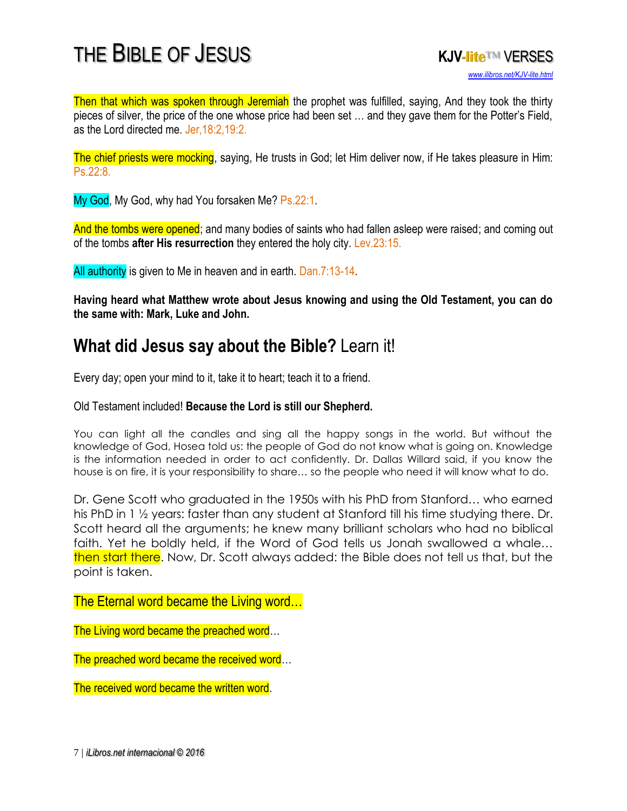

Then that which was spoken through Jeremiah the prophet was fulfilled, saying, And they took the thirty pieces of silver, the price of the one whose price had been set … and they gave them for the Potter's Field, as the Lord directed me. Jer,18:2,19:2.

The chief priests were mocking, saying, He trusts in God; let Him deliver now, if He takes pleasure in Him: Ps.22:8.

My God, My God, why had You forsaken Me? Ps.22:1.

And the tombs were opened; and many bodies of saints who had fallen asleep were raised; and coming out of the tombs **after His resurrection** they entered the holy city. Lev.23:15.

All authority is given to Me in heaven and in earth. Dan.7:13-14.

**Having heard what Matthew wrote about Jesus knowing and using the Old Testament, you can do the same with: Mark, Luke and John.**

#### **What did Jesus say about the Bible?** Learn it!

Every day; open your mind to it, take it to heart; teach it to a friend.

Old Testament included! **Because the Lord is still our Shepherd.**

You can light all the candles and sing all the happy songs in the world. But without the knowledge of God, Hosea told us: the people of God do not know what is going on. Knowledge is the information needed in order to act confidently. Dr. Dallas Willard said, if you know the house is on fire, it is your responsibility to share… so the people who need it will know what to do.

Dr. Gene Scott who graduated in the 1950s with his PhD from Stanford… who earned his PhD in 1 ½ years: faster than any student at Stanford till his time studying there. Dr. Scott heard all the arguments; he knew many brilliant scholars who had no biblical faith. Yet he boldly held, if the Word of God tells us Jonah swallowed a whale… then start there. Now, Dr. Scott always added: the Bible does not tell us that, but the point is taken.

The Eternal word became the Living word…

The Living word became the preached word...

The preached word became the received word...

The received word became the written word.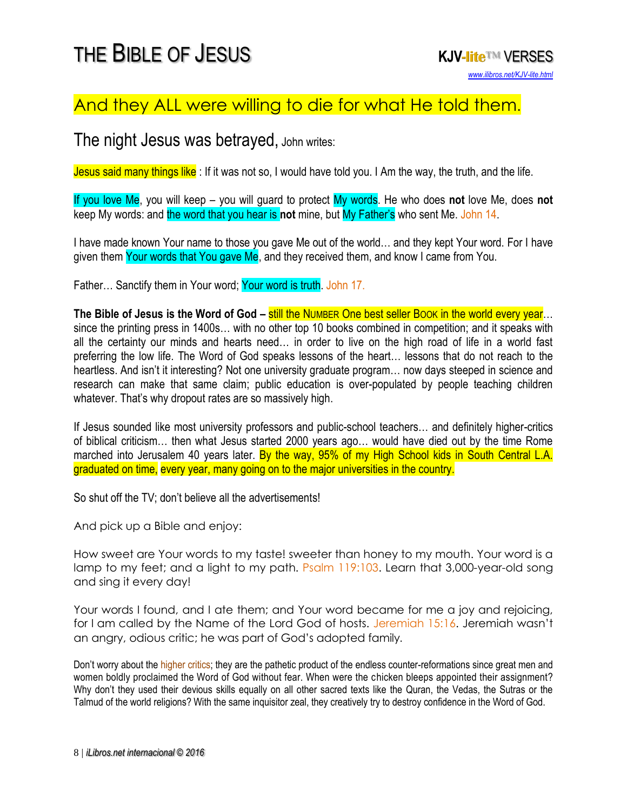#### And they ALL were willing to die for what He told them.

#### The night Jesus was betrayed, John writes:

Jesus said many things like : If it was not so, I would have told you. I Am the way, the truth, and the life.

If you love Me, you will keep – you will guard to protect My words. He who does **not** love Me, does **not**  keep My words: and the word that you hear is not mine, but My Father's who sent Me. John 14.

I have made known Your name to those you gave Me out of the world… and they kept Your word. For I have given them Your words that You gave Me, and they received them, and know I came from You.

Father... Sanctify them in Your word; Your word is truth. John 17.

**The Bible of Jesus is the Word of God – still the NUMBER One best seller Book in the world every year...** since the printing press in 1400s… with no other top 10 books combined in competition; and it speaks with all the certainty our minds and hearts need… in order to live on the high road of life in a world fast preferring the low life. The Word of God speaks lessons of the heart… lessons that do not reach to the heartless. And isn't it interesting? Not one university graduate program… now days steeped in science and research can make that same claim; public education is over-populated by people teaching children whatever. That's why dropout rates are so massively high.

If Jesus sounded like most university professors and public-school teachers… and definitely higher-critics of biblical criticism… then what Jesus started 2000 years ago… would have died out by the time Rome marched into Jerusalem 40 years later. By the way, 95% of my High School kids in South Central L.A. graduated on time, every year, many going on to the major universities in the country.

So shut off the TV; don't believe all the advertisements!

And pick up a Bible and enjoy:

How sweet are Your words to my taste! sweeter than honey to my mouth. Your word is a lamp to my feet; and a light to my path. Psalm 119:103. Learn that 3,000-year-old song and sing it every day!

Your words I found, and I ate them; and Your word became for me a joy and rejoicing, for I am called by the Name of the Lord God of hosts. Jeremiah 15:16. Jeremiah wasn't an angry, odious critic; he was part of God's adopted family.

Don't worry about the higher critics; they are the pathetic product of the endless counter-reformations since great men and women boldly proclaimed the Word of God without fear. When were the chicken bleeps appointed their assignment? Why don't they used their devious skills equally on all other sacred texts like the Quran, the Vedas, the Sutras or the Talmud of the world religions? With the same inquisitor zeal, they creatively try to destroy confidence in the Word of God.